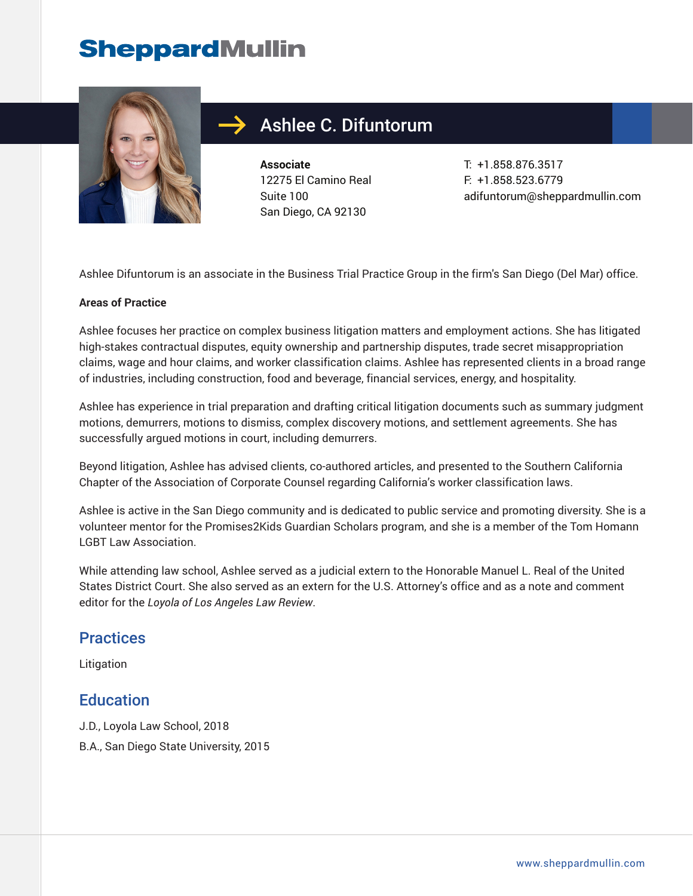## **SheppardMullin**



### Ashlee C. Difuntorum

**Associate** 12275 El Camino Real Suite 100 San Diego, CA 92130

T: +1.858.876.3517 F: +1.858.523.6779 adifuntorum@sheppardmullin.com

Ashlee Difuntorum is an associate in the Business Trial Practice Group in the firm's San Diego (Del Mar) office.

#### **Areas of Practice**

Ashlee focuses her practice on complex business litigation matters and employment actions. She has litigated high-stakes contractual disputes, equity ownership and partnership disputes, trade secret misappropriation claims, wage and hour claims, and worker classification claims. Ashlee has represented clients in a broad range of industries, including construction, food and beverage, financial services, energy, and hospitality.

Ashlee has experience in trial preparation and drafting critical litigation documents such as summary judgment motions, demurrers, motions to dismiss, complex discovery motions, and settlement agreements. She has successfully argued motions in court, including demurrers.

Beyond litigation, Ashlee has advised clients, co-authored articles, and presented to the Southern California Chapter of the Association of Corporate Counsel regarding California's worker classification laws.

Ashlee is active in the San Diego community and is dedicated to public service and promoting diversity. She is a volunteer mentor for the Promises2Kids Guardian Scholars program, and she is a member of the Tom Homann LGBT Law Association.

While attending law school, Ashlee served as a judicial extern to the Honorable Manuel L. Real of the United States District Court. She also served as an extern for the U.S. Attorney's office and as a note and comment editor for the *Loyola of Los Angeles Law Review*.

#### **Practices**

Litigation

#### **Education**

- J.D., Loyola Law School, 2018
- B.A., San Diego State University, 2015